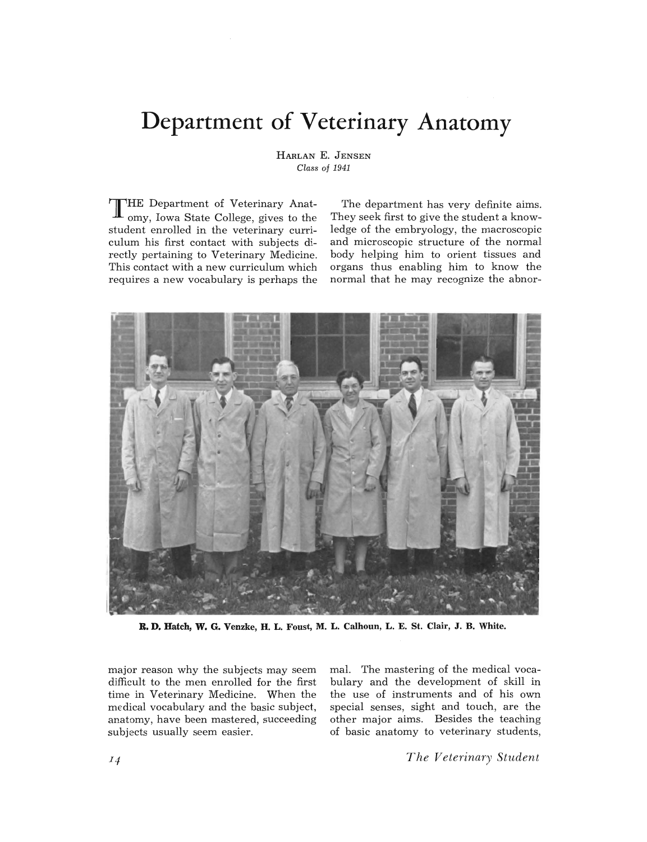# **Department of Veterinary Anatomy**

HARLAN E. JENSEN *Class of 1941* 

**THE** Department of Veterinary Anatomy, Iowa State College, gives to the student enrolled in the veterinary curriculum his first contact with subjects directly pertaining to Veterinary Medicine. This contact with a new curriculum which requires a new vocabulary is perhaps the

The department has very definite aims. They seek first to give the student a knowledge of the embryology, the macroscopic and microscopic structure of the normal body helping him to orient tissues and organs thus enabling him to know the normal that he may recognize the abnor-



**R. D. Hatch, W. G. Venzke, H. L. Foust, M. L. Calhoun, L. E. St. Clair, J. B. White.** 

major reason why the subjects may seem difficult to the men enrolled for the first time in Veterinary Medicine. When the medical vocabulary and the basic subject, anatomy, have been mastered, succeeding subjects usually seem easier.

mal. The mastering of the medical vocabulary and the development of skill in the use of instruments and of his own special senses, sight and touch, are the other major aims. Besides the teaching of basic anatomy to veterinary students,

*The Veterinary Student*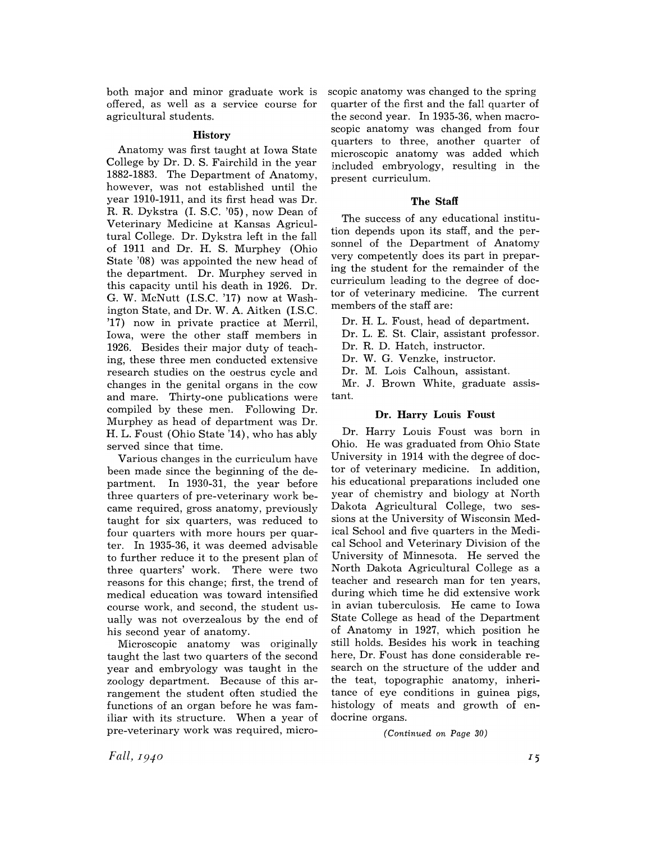both major and minor graduate work is offered, as well as a service course for agricultural students.

# **History**

Anatomy was first taught at Iowa State College by Dr. D. S. Fairchild in the year 1882-1883. The Department of Anatomy, however, was not established until the year 1910-1911, and its first head was Dr. R. R. Dykstra (I. S.C. '05), now Dean of Veterinary Medicine at Kansas Agricultural College. Dr. Dykstra left in the fall of 1911 and Dr. H. S. Murphey (Ohio State '08) was appointed the new head of the department. Dr. Murphey served in this capacity until his death in 1926. Dr. G. W. McNutt (IS.C. '17) now at Wash·· ington State, and Dr. W. A. Aitken (I.S.C. '17) now in private practice at Merril, Iowa, were the other staff members in 1926. Besides their major duty of teaching, these three men conducted extensive research studies on the oestrus cycle and changes in the genital organs in the cow and mare. Thirty-one publications were compiled by these men. Following Dr. Murphey as head of department was Dr. H. L. Foust (Ohio State '14), who has ably served since that time.

Various changes in the curriculum have been made since the beginning of the department. In 1930-31, the year before three quarters of pre-veterinary work became required, gross anatomy, previously taught for six quarters, was reduced to four quarters with more hours per quarter. In 1935-36, it was deemed advisable to further reduce it to the present plan of three quarters' work. There were two reasons for this change; first, the trend of medical education was toward intensified course work, and second, the student usually was not overzealous by the end of his second year of anatomy.

Microscopic anatomy was originally taught the last two quarters of the second year and embryology was taught in the zoology department. Because of this arrangement the student often studied the functions of an organ before he was familiar with its structure. When a year of pre-veterinary work was required, micro-

scopic anatomy was changed to the spring quarter of the first and the fall quarter of the second year. In 1935-36, when macroscopic anatomy was changed from four quarters to three, another quarter of microscopic anatomy was added which included embryology, resulting in the present curriculum.

# **The Staff**

The success of any educational institution depends upon its staff, and the personnel of the Department of Anatomy very competently does its part in preparing the student for the remainder of the curriculum leading to the degree of doctor of veterinary medicine. The current members of the staff are:

Dr. H. L. Foust, head of department.

Dr. L. E. St. Clair, assistant professor.

Dr. R. D. Hatch, instructor.

Dr. W. G. Venzke, instructor.

Dr. M. Lois Calhoun, assistant.

Mr. J. Brown White, graduate assistant.

# **Dr. Harry Louis Foust**

Dr. Harry Louis Foust was born in Ohio. He was graduated from Ohio State University in 1914 with the degree of doctor of veterinary medicine. In addition, his educational preparations included one year of chemistry and biology at North Dakota Agricultural College, two sessions at the University of Wisconsin Medical School and five quarters in the Medical School and Veterinary Division of the University of Minnesota. He served the North Dakota Agricultural College as a teacher and research man for ten years, during which time he did extensive work in avian tuberculosis. He came to Iowa State College as head of the Department of Anatomy in 1927, which position he still holds. Besides his work in teaching here, Dr. Foust has done considerable research on the structure of the udder and the teat, topographic anatomy, inheritance of eye conditions in guinea pigs, histology of meats and growth of endocrine organs.

*(Continued on Page 30)* 

*Fall, I940*